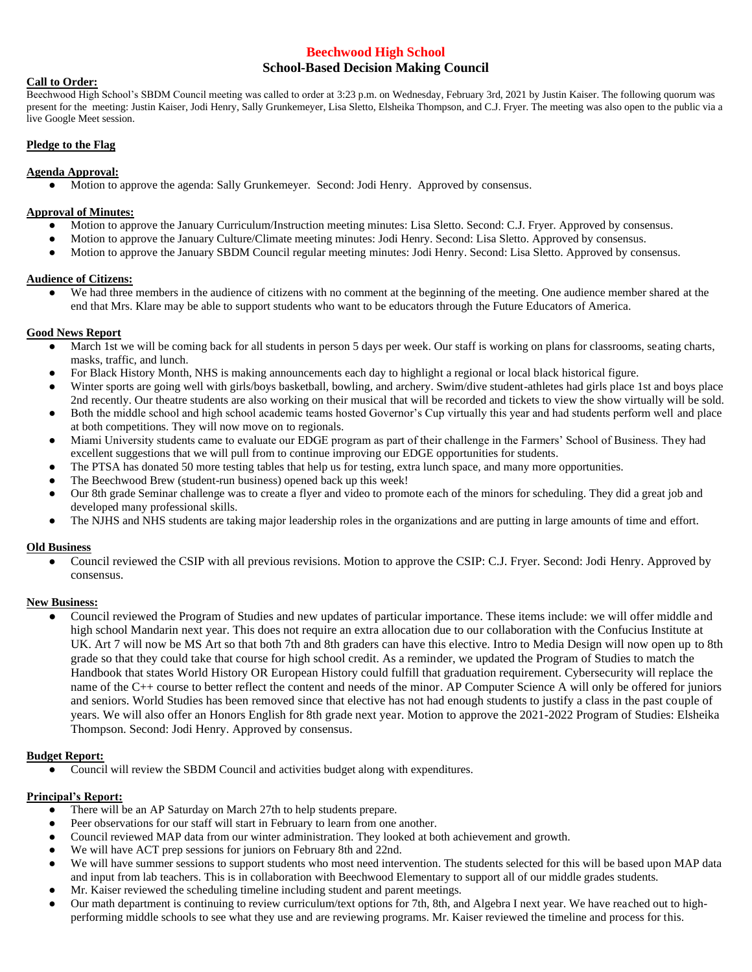# **Beechwood High School School-Based Decision Making Council**

### **Call to Order:**

Beechwood High School's SBDM Council meeting was called to order at 3:23 p.m. on Wednesday, February 3rd, 2021 by Justin Kaiser. The following quorum was present for the meeting: Justin Kaiser, Jodi Henry, Sally Grunkemeyer, Lisa Sletto, Elsheika Thompson, and C.J. Fryer. The meeting was also open to the public via a live Google Meet session.

### **Pledge to the Flag**

### **Agenda Approval:**

● Motion to approve the agenda: Sally Grunkemeyer. Second: Jodi Henry. Approved by consensus.

### **Approval of Minutes:**

- Motion to approve the January Curriculum/Instruction meeting minutes: Lisa Sletto. Second: C.J. Fryer. Approved by consensus.
- Motion to approve the January Culture/Climate meeting minutes: Jodi Henry. Second: Lisa Sletto. Approved by consensus.
- Motion to approve the January SBDM Council regular meeting minutes: Jodi Henry. Second: Lisa Sletto. Approved by consensus.

# **Audience of Citizens:**

We had three members in the audience of citizens with no comment at the beginning of the meeting. One audience member shared at the end that Mrs. Klare may be able to support students who want to be educators through the Future Educators of America.

## **Good News Report**

- March 1st we will be coming back for all students in person 5 days per week. Our staff is working on plans for classrooms, seating charts, masks, traffic, and lunch.
- For Black History Month, NHS is making announcements each day to highlight a regional or local black historical figure.
- Winter sports are going well with girls/boys basketball, bowling, and archery. Swim/dive student-athletes had girls place 1st and boys place 2nd recently. Our theatre students are also working on their musical that will be recorded and tickets to view the show virtually will be sold.
- Both the middle school and high school academic teams hosted Governor's Cup virtually this year and had students perform well and place at both competitions. They will now move on to regionals.
- Miami University students came to evaluate our EDGE program as part of their challenge in the Farmers' School of Business. They had excellent suggestions that we will pull from to continue improving our EDGE opportunities for students.
- The PTSA has donated 50 more testing tables that help us for testing, extra lunch space, and many more opportunities.
- The Beechwood Brew (student-run business) opened back up this week!
- Our 8th grade Seminar challenge was to create a flyer and video to promote each of the minors for scheduling. They did a great job and developed many professional skills.
- The NJHS and NHS students are taking major leadership roles in the organizations and are putting in large amounts of time and effort.

#### **Old Business**

Council reviewed the CSIP with all previous revisions. Motion to approve the CSIP: C.J. Fryer. Second: Jodi Henry. Approved by consensus.

#### **New Business:**

Council reviewed the Program of Studies and new updates of particular importance. These items include: we will offer middle and high school Mandarin next year. This does not require an extra allocation due to our collaboration with the Confucius Institute at UK. Art 7 will now be MS Art so that both 7th and 8th graders can have this elective. Intro to Media Design will now open up to 8th grade so that they could take that course for high school credit. As a reminder, we updated the Program of Studies to match the Handbook that states World History OR European History could fulfill that graduation requirement. Cybersecurity will replace the name of the C++ course to better reflect the content and needs of the minor. AP Computer Science A will only be offered for juniors and seniors. World Studies has been removed since that elective has not had enough students to justify a class in the past couple of years. We will also offer an Honors English for 8th grade next year. Motion to approve the 2021-2022 Program of Studies: Elsheika Thompson. Second: Jodi Henry. Approved by consensus.

# **Budget Report:**

● Council will review the SBDM Council and activities budget along with expenditures.

# **Principal's Report:**

- There will be an AP Saturday on March 27th to help students prepare.
- Peer observations for our staff will start in February to learn from one another.
- Council reviewed MAP data from our winter administration. They looked at both achievement and growth.
- We will have ACT prep sessions for juniors on February 8th and 22nd.
- We will have summer sessions to support students who most need intervention. The students selected for this will be based upon MAP data and input from lab teachers. This is in collaboration with Beechwood Elementary to support all of our middle grades students.
- Mr. Kaiser reviewed the scheduling timeline including student and parent meetings.
- Our math department is continuing to review curriculum/text options for 7th, 8th, and Algebra I next year. We have reached out to highperforming middle schools to see what they use and are reviewing programs. Mr. Kaiser reviewed the timeline and process for this.